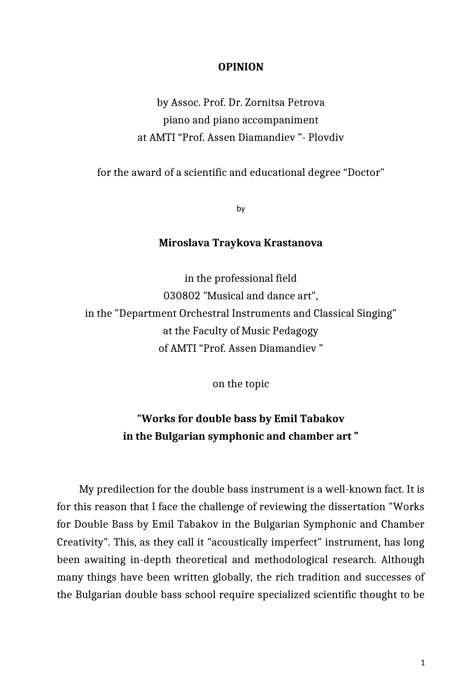## **OPINION**

by Assoc. Prof. Dr. Zornitsa Petrova piano and piano accompaniment at AMTI "Prof. Assen Diamandiev "- Plovdiv

for the award of a scientific and educational degree "Doctor"

by

## **Miroslava Traykova Krastanova**

in the professional field 030802 "Musical and dance art", in the "Department Orchestral Instruments and Classical Singing" at the Faculty of Music Pedagogy of AMTI "Prof. Assen Diamandiev "

on the topic

## **"Works for double bass by Emil Tabakov in the Bulgarian symphonic and chamber art "**

My predilection for the double bass instrument is a well-known fact. It is for this reason that I face the challenge of reviewing the dissertation "Works for Double Bass by Emil Tabakov in the Bulgarian Symphonic and Chamber Creativity". This, as they call it "acoustically imperfect" instrument, has long been awaiting in-depth theoretical and methodological research. Although many things have been written globally, the rich tradition and successes of the Bulgarian double bass school require specialized scientific thought to be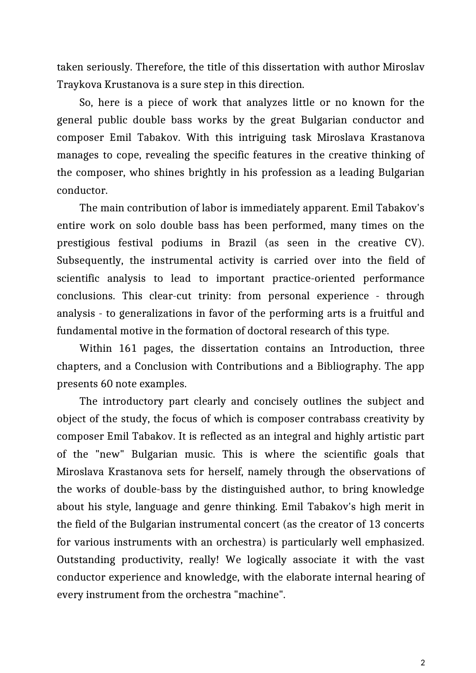taken seriously. Therefore, the title of this dissertation with author Miroslav Traykova Krustanova is a sure step in this direction.

So, here is a piece of work that analyzes little or no known for the general public double bass works by the great Bulgarian conductor and composer Emil Tabakov. With this intriguing task Miroslava Krastanova manages to cope, revealing the specific features in the creative thinking of the composer, who shines brightly in his profession as a leading Bulgarian conductor.

The main contribution of labor is immediately apparent. Emil Tabakov's entire work on solo double bass has been performed, many times on the prestigious festival podiums in Brazil (as seen in the creative CV). Subsequently, the instrumental activity is carried over into the field of scientific analysis to lead to important practice-oriented performance conclusions. This clear-cut trinity: from personal experience - through analysis - to generalizations in favor of the performing arts is a fruitful and fundamental motive in the formation of doctoral research of this type.

Within 161 pages, the dissertation contains an Introduction, three chapters, and a Conclusion with Contributions and a Bibliography. The app presents 60 note examples.

The introductory part clearly and concisely outlines the subject and object of the study, the focus of which is composer contrabass creativity by composer Emil Tabakov. It is reflected as an integral and highly artistic part of the "new" Bulgarian music. This is where the scientific goals that Miroslava Krastanova sets for herself, namely through the observations of the works of double-bass by the distinguished author, to bring knowledge about his style, language and genre thinking. Emil Tabakov's high merit in the field of the Bulgarian instrumental concert (as the creator of 13 concerts for various instruments with an orchestra) is particularly well emphasized. Outstanding productivity, really! We logically associate it with the vast conductor experience and knowledge, with the elaborate internal hearing of every instrument from the orchestra "machine".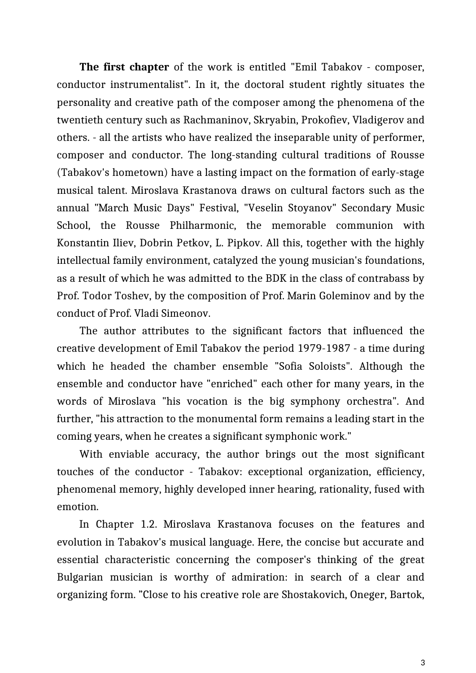**The first chapter** of the work is entitled "Emil Tabakov - composer, conductor instrumentalist". In it, the doctoral student rightly situates the personality and creative path of the composer among the phenomena of the twentieth century such as Rachmaninov, Skryabin, Prokofiev, Vladigerov and others. - all the artists who have realized the inseparable unity of performer, composer and conductor. The long-standing cultural traditions of Rousse (Tabakov's hometown) have a lasting impact on the formation of early-stage musical talent. Miroslava Krastanova draws on cultural factors such as the annual "March Music Days" Festival, "Veselin Stoyanov" Secondary Music School, the Rousse Philharmonic, the memorable communion with Konstantin Iliev, Dobrin Petkov, L. Pipkov. All this, together with the highly intellectual family environment, catalyzed the young musician's foundations, as a result of which he was admitted to the BDK in the class of contrabass by Prof. Todor Toshev, by the composition of Prof. Marin Goleminov and by the conduct of Prof. Vladi Simeonov.

The author attributes to the significant factors that influenced the creative development of Emil Tabakov the period 1979-1987 - a time during which he headed the chamber ensemble "Sofia Soloists". Although the ensemble and conductor have "enriched" each other for many years, in the words of Miroslava "his vocation is the big symphony orchestra". And further, "his attraction to the monumental form remains a leading start in the coming years, when he creates a significant symphonic work."

With enviable accuracy, the author brings out the most significant touches of the conductor - Tabakov: exceptional organization, efficiency, phenomenal memory, highly developed inner hearing, rationality, fused with emotion.

In Chapter 1.2. Miroslava Krastanova focuses on the features and evolution in Tabakov's musical language. Here, the concise but accurate and essential characteristic concerning the composer's thinking of the great Bulgarian musician is worthy of admiration: in search of a clear and organizing form. "Close to his creative role are Shostakovich, Oneger, Bartok,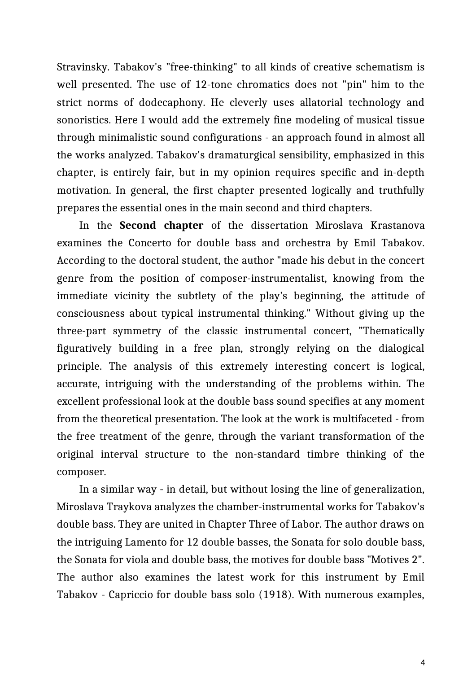Stravinsky. Tabakov's "free-thinking" to all kinds of creative schematism is well presented. The use of 12-tone chromatics does not "pin" him to the strict norms of dodecaphony. He cleverly uses allatorial technology and sonoristics. Here I would add the extremely fine modeling of musical tissue through minimalistic sound configurations - an approach found in almost all the works analyzed. Tabakov's dramaturgical sensibility, emphasized in this chapter, is entirely fair, but in my opinion requires specific and in-depth motivation. In general, the first chapter presented logically and truthfully prepares the essential ones in the main second and third chapters.

In the **Second chapter** of the dissertation Miroslava Krastanova examines the Concerto for double bass and orchestra by Emil Tabakov. According to the doctoral student, the author "made his debut in the concert genre from the position of composer-instrumentalist, knowing from the immediate vicinity the subtlety of the play's beginning, the attitude of consciousness about typical instrumental thinking." Without giving up the three-part symmetry of the classic instrumental concert, "Thematically figuratively building in a free plan, strongly relying on the dialogical principle. The analysis of this extremely interesting concert is logical, accurate, intriguing with the understanding of the problems within. The excellent professional look at the double bass sound specifies at any moment from the theoretical presentation. The look at the work is multifaceted - from the free treatment of the genre, through the variant transformation of the original interval structure to the non-standard timbre thinking of the composer.

In a similar way - in detail, but without losing the line of generalization, Miroslava Traykova analyzes the chamber-instrumental works for Tabakov's double bass. They are united in Chapter Three of Labor. The author draws on the intriguing Lamento for 12 double basses, the Sonata for solo double bass, the Sonata for viola and double bass, the motives for double bass "Motives 2". The author also examines the latest work for this instrument by Emil Tabakov - Capriccio for double bass solo (1918). With numerous examples,